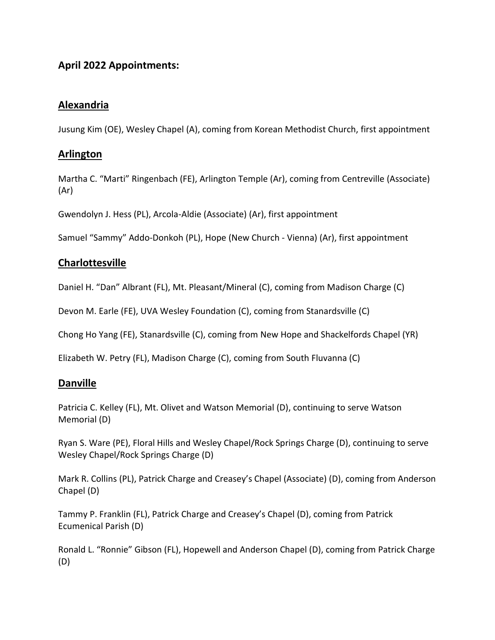# **April 2022 Appointments:**

# **Alexandria**

Jusung Kim (OE), Wesley Chapel (A), coming from Korean Methodist Church, first appointment

# **Arlington**

Martha C. "Marti" Ringenbach (FE), Arlington Temple (Ar), coming from Centreville (Associate) (Ar)

Gwendolyn J. Hess (PL), Arcola-Aldie (Associate) (Ar), first appointment

Samuel "Sammy" Addo-Donkoh (PL), Hope (New Church - Vienna) (Ar), first appointment

# **Charlottesville**

Daniel H. "Dan" Albrant (FL), Mt. Pleasant/Mineral (C), coming from Madison Charge (C)

Devon M. Earle (FE), UVA Wesley Foundation (C), coming from Stanardsville (C)

Chong Ho Yang (FE), Stanardsville (C), coming from New Hope and Shackelfords Chapel (YR)

Elizabeth W. Petry (FL), Madison Charge (C), coming from South Fluvanna (C)

### **Danville**

Patricia C. Kelley (FL), Mt. Olivet and Watson Memorial (D), continuing to serve Watson Memorial (D)

Ryan S. Ware (PE), Floral Hills and Wesley Chapel/Rock Springs Charge (D), continuing to serve Wesley Chapel/Rock Springs Charge (D)

Mark R. Collins (PL), Patrick Charge and Creasey's Chapel (Associate) (D), coming from Anderson Chapel (D)

Tammy P. Franklin (FL), Patrick Charge and Creasey's Chapel (D), coming from Patrick Ecumenical Parish (D)

Ronald L. "Ronnie" Gibson (FL), Hopewell and Anderson Chapel (D), coming from Patrick Charge (D)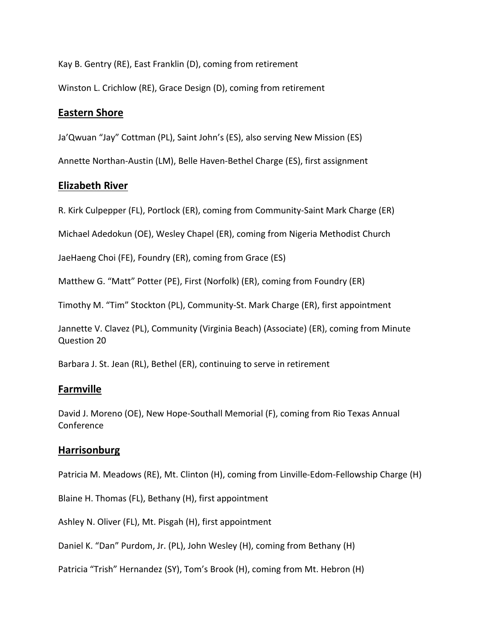Kay B. Gentry (RE), East Franklin (D), coming from retirement

Winston L. Crichlow (RE), Grace Design (D), coming from retirement

# **Eastern Shore**

Ja'Qwuan "Jay" Cottman (PL), Saint John's (ES), also serving New Mission (ES)

Annette Northan-Austin (LM), Belle Haven-Bethel Charge (ES), first assignment

# **Elizabeth River**

R. Kirk Culpepper (FL), Portlock (ER), coming from Community-Saint Mark Charge (ER)

Michael Adedokun (OE), Wesley Chapel (ER), coming from Nigeria Methodist Church

JaeHaeng Choi (FE), Foundry (ER), coming from Grace (ES)

Matthew G. "Matt" Potter (PE), First (Norfolk) (ER), coming from Foundry (ER)

Timothy M. "Tim" Stockton (PL), Community-St. Mark Charge (ER), first appointment

Jannette V. Clavez (PL), Community (Virginia Beach) (Associate) (ER), coming from Minute Question 20

Barbara J. St. Jean (RL), Bethel (ER), continuing to serve in retirement

### **Farmville**

David J. Moreno (OE), New Hope-Southall Memorial (F), coming from Rio Texas Annual Conference

### **Harrisonburg**

Patricia M. Meadows (RE), Mt. Clinton (H), coming from Linville-Edom-Fellowship Charge (H)

Blaine H. Thomas (FL), Bethany (H), first appointment

Ashley N. Oliver (FL), Mt. Pisgah (H), first appointment

Daniel K. "Dan" Purdom, Jr. (PL), John Wesley (H), coming from Bethany (H)

Patricia "Trish" Hernandez (SY), Tom's Brook (H), coming from Mt. Hebron (H)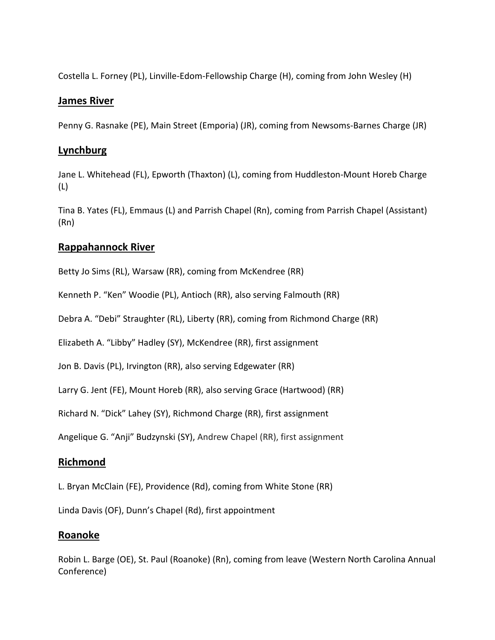Costella L. Forney (PL), Linville-Edom-Fellowship Charge (H), coming from John Wesley (H)

#### **James River**

Penny G. Rasnake (PE), Main Street (Emporia) (JR), coming from Newsoms-Barnes Charge (JR)

### **Lynchburg**

Jane L. Whitehead (FL), Epworth (Thaxton) (L), coming from Huddleston-Mount Horeb Charge (L)

Tina B. Yates (FL), Emmaus (L) and Parrish Chapel (Rn), coming from Parrish Chapel (Assistant) (Rn)

# **Rappahannock River**

Betty Jo Sims (RL), Warsaw (RR), coming from McKendree (RR)

Kenneth P. "Ken" Woodie (PL), Antioch (RR), also serving Falmouth (RR)

Debra A. "Debi" Straughter (RL), Liberty (RR), coming from Richmond Charge (RR)

Elizabeth A. "Libby" Hadley (SY), McKendree (RR), first assignment

Jon B. Davis (PL), Irvington (RR), also serving Edgewater (RR)

Larry G. Jent (FE), Mount Horeb (RR), also serving Grace (Hartwood) (RR)

Richard N. "Dick" Lahey (SY), Richmond Charge (RR), first assignment

Angelique G. "Anji" Budzynski (SY), Andrew Chapel (RR), first assignment

# **Richmond**

L. Bryan McClain (FE), Providence (Rd), coming from White Stone (RR)

Linda Davis (OF), Dunn's Chapel (Rd), first appointment

### **Roanoke**

Robin L. Barge (OE), St. Paul (Roanoke) (Rn), coming from leave (Western North Carolina Annual Conference)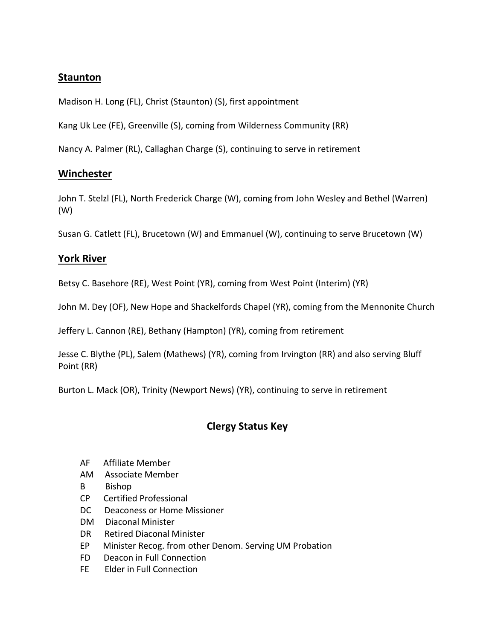# **Staunton**

Madison H. Long (FL), Christ (Staunton) (S), first appointment

Kang Uk Lee (FE), Greenville (S), coming from Wilderness Community (RR)

Nancy A. Palmer (RL), Callaghan Charge (S), continuing to serve in retirement

### **Winchester**

John T. Stelzl (FL), North Frederick Charge (W), coming from John Wesley and Bethel (Warren) (W)

Susan G. Catlett (FL), Brucetown (W) and Emmanuel (W), continuing to serve Brucetown (W)

# **York River**

Betsy C. Basehore (RE), West Point (YR), coming from West Point (Interim) (YR)

John M. Dey (OF), New Hope and Shackelfords Chapel (YR), coming from the Mennonite Church

Jeffery L. Cannon (RE), Bethany (Hampton) (YR), coming from retirement

Jesse C. Blythe (PL), Salem (Mathews) (YR), coming from Irvington (RR) and also serving Bluff Point (RR)

Burton L. Mack (OR), Trinity (Newport News) (YR), continuing to serve in retirement

# **Clergy Status Key**

- AF Affiliate Member
- AM Associate Member
- B Bishop
- CP Certified Professional
- DC Deaconess or Home Missioner
- DM Diaconal Minister
- DR Retired Diaconal Minister
- EP Minister Recog. from other Denom. Serving UM Probation
- FD Deacon in Full Connection
- FE Elder in Full Connection